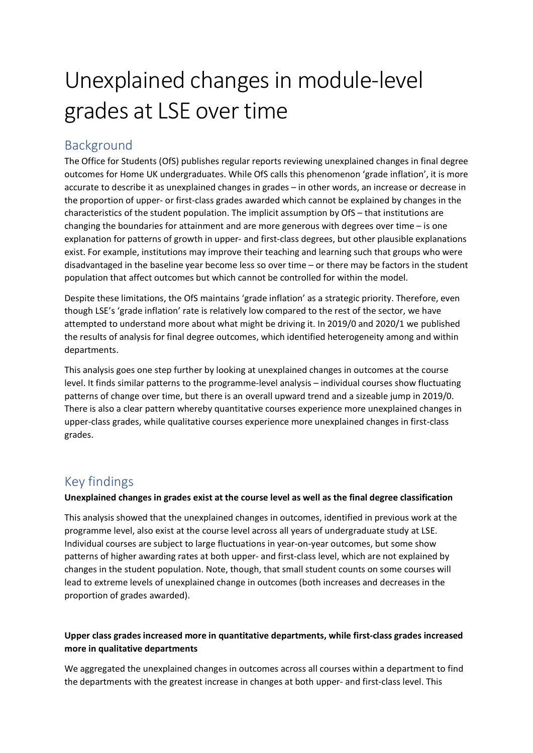# Unexplained changes in module-level grades at LSE over time

## Background

The Office for Students (OfS) publishes regular reports reviewing unexplained changes in final degree outcomes for Home UK undergraduates. While OfS calls this phenomenon 'grade inflation', it is more accurate to describe it as unexplained changes in grades – in other words, an increase or decrease in the proportion of upper- or first-class grades awarded which cannot be explained by changes in the characteristics of the student population. The implicit assumption by OfS – that institutions are changing the boundaries for attainment and are more generous with degrees over time – is one explanation for patterns of growth in upper- and first-class degrees, but other plausible explanations exist. For example, institutions may improve their teaching and learning such that groups who were disadvantaged in the baseline year become less so over time – or there may be factors in the student population that affect outcomes but which cannot be controlled for within the model.

Despite these limitations, the OfS maintains 'grade inflation' as a strategic priority. Therefore, even though LSE's 'grade inflation' rate is relatively low compared to the rest of the sector, we have attempted to understand more about what might be driving it. In 2019/0 and 2020/1 we published the results of analysis for final degree outcomes, which identified heterogeneity among and within departments.

This analysis goes one step further by looking at unexplained changes in outcomes at the course level. It finds similar patterns to the programme-level analysis – individual courses show fluctuating patterns of change over time, but there is an overall upward trend and a sizeable jump in 2019/0. There is also a clear pattern whereby quantitative courses experience more unexplained changes in upper-class grades, while qualitative courses experience more unexplained changes in first-class grades.

## Key findings

#### **Unexplained changes in grades exist at the course level as well as the final degree classification**

This analysis showed that the unexplained changes in outcomes, identified in previous work at the programme level, also exist at the course level across all years of undergraduate study at LSE. Individual courses are subject to large fluctuations in year-on-year outcomes, but some show patterns of higher awarding rates at both upper- and first-class level, which are not explained by changes in the student population. Note, though, that small student counts on some courses will lead to extreme levels of unexplained change in outcomes (both increases and decreases in the proportion of grades awarded).

#### **Upper class grades increased more in quantitative departments, while first-class grades increased more in qualitative departments**

We aggregated the unexplained changes in outcomes across all courses within a department to find the departments with the greatest increase in changes at both upper- and first-class level. This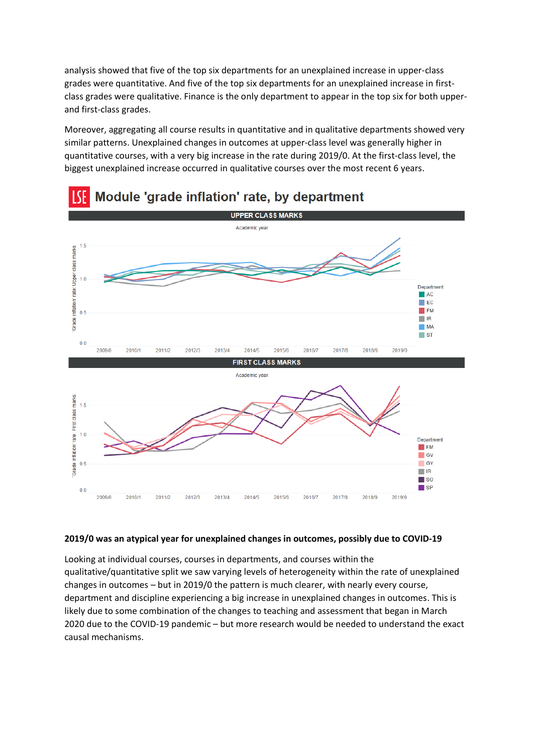analysis showed that five of the top six departments for an unexplained increase in upper-class grades were quantitative. And five of the top six departments for an unexplained increase in firstclass grades were qualitative. Finance is the only department to appear in the top six for both upperand first-class grades.

Moreover, aggregating all course results in quantitative and in qualitative departments showed very similar patterns. Unexplained changes in outcomes at upper-class level was generally higher in quantitative courses, with a very big increase in the rate during 2019/0. At the first-class level, the biggest unexplained increase occurred in qualitative courses over the most recent 6 years.



## Module 'grade inflation' rate, by department

#### **2019/0 was an atypical year for unexplained changes in outcomes, possibly due to COVID-19**

Looking at individual courses, courses in departments, and courses within the qualitative/quantitative split we saw varying levels of heterogeneity within the rate of unexplained changes in outcomes – but in 2019/0 the pattern is much clearer, with nearly every course, department and discipline experiencing a big increase in unexplained changes in outcomes. This is likely due to some combination of the changes to teaching and assessment that began in March 2020 due to the COVID-19 pandemic – but more research would be needed to understand the exact causal mechanisms.